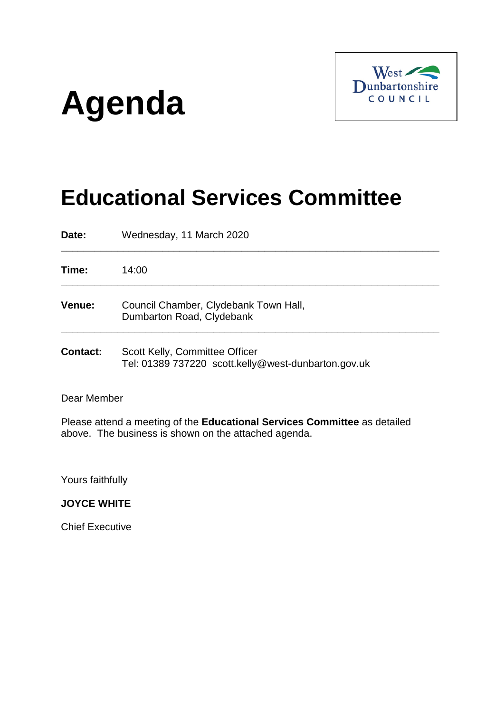# **Agenda**



# **Educational Services Committee**

**Date:** Wednesday, 11 March 2020 **\_\_\_\_\_\_\_\_\_\_\_\_\_\_\_\_\_\_\_\_\_\_\_\_\_\_\_\_\_\_\_\_\_\_\_\_\_\_\_\_\_\_\_\_\_\_\_\_\_\_\_\_\_\_\_\_\_\_\_\_\_\_\_\_\_\_\_ Time:** 14:00 **\_\_\_\_\_\_\_\_\_\_\_\_\_\_\_\_\_\_\_\_\_\_\_\_\_\_\_\_\_\_\_\_\_\_\_\_\_\_\_\_\_\_\_\_\_\_\_\_\_\_\_\_\_\_\_\_\_\_\_\_\_\_\_\_\_\_\_ Venue:** Council Chamber, Clydebank Town Hall, Dumbarton Road, Clydebank **\_\_\_\_\_\_\_\_\_\_\_\_\_\_\_\_\_\_\_\_\_\_\_\_\_\_\_\_\_\_\_\_\_\_\_\_\_\_\_\_\_\_\_\_\_\_\_\_\_\_\_\_\_\_\_\_\_\_\_\_\_\_\_\_\_\_\_ Contact:** Scott Kelly, Committee Officer Tel: 01389 737220 scott.kelly@west-dunbarton.gov.uk

Dear Member

Please attend a meeting of the **Educational Services Committee** as detailed above. The business is shown on the attached agenda.

Yours faithfully

**JOYCE WHITE**

Chief Executive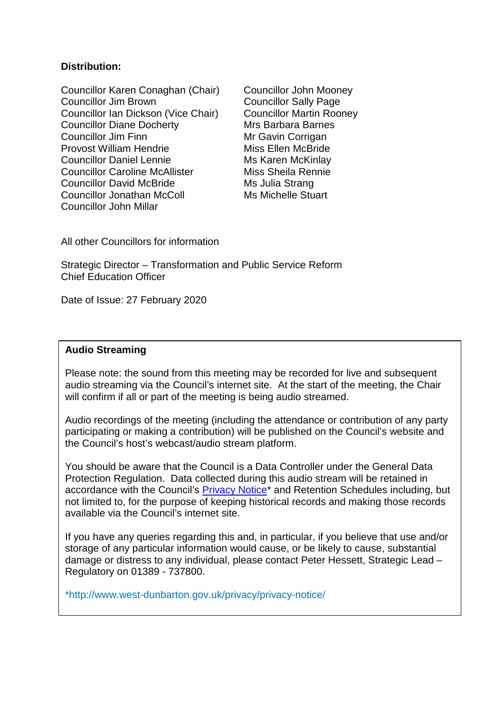#### **Distribution:**

Councillor Karen Conaghan (Chair) Councillor John Mooney Councillor Jim Brown Councillor Sally Page Councillor Ian Dickson (Vice Chair) Councillor Martin Rooney Councillor Diane Docherty Mrs Barbara Barnes Councillor Jim Finn Mr Gavin Corrigan Provost William Hendrie Miss Ellen McBride Councillor Daniel Lennie Muscle Ms Karen McKinlay Councillor Caroline McAllister Miss Sheila Rennie Councillor David McBride Ms Julia Strang Councillor Jonathan McColl Ms Michelle Stuart Councillor John Millar

All other Councillors for information

Strategic Director – Transformation and Public Service Reform Chief Education Officer

Date of Issue: 27 February 2020

#### **Audio Streaming**

Please note: the sound from this meeting may be recorded for live and subsequent audio streaming via the Council's internet site. At the start of the meeting, the Chair will confirm if all or part of the meeting is being audio streamed.

Audio recordings of the meeting (including the attendance or contribution of any party participating or making a contribution) will be published on the Council's website and the Council's host's webcast/audio stream platform.

You should be aware that the Council is a Data Controller under the General Data Protection Regulation. Data collected during this audio stream will be retained in accordance with the Council's [Privacy Notice\\*](http://www.west-dunbarton.gov.uk/privacy/privacy-notice/) and Retention Schedules including, but not limited to, for the purpose of keeping historical records and making those records available via the Council's internet site.

If you have any queries regarding this and, in particular, if you believe that use and/or storage of any particular information would cause, or be likely to cause, substantial damage or distress to any individual, please contact Peter Hessett, Strategic Lead – Regulatory on 01389 - 737800.

\*http://www.west-dunbarton.gov.uk/privacy/privacy-notice/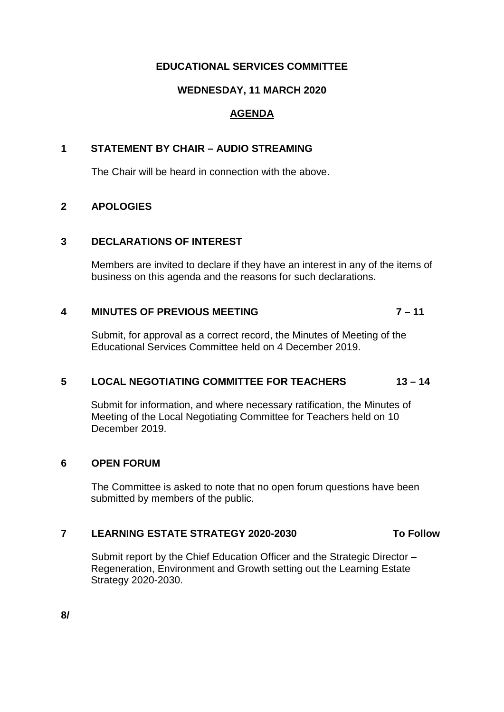#### **EDUCATIONAL SERVICES COMMITTEE**

#### **WEDNESDAY, 11 MARCH 2020**

# **AGENDA**

#### **1 STATEMENT BY CHAIR – AUDIO STREAMING**

The Chair will be heard in connection with the above.

#### **2 APOLOGIES**

#### **3 DECLARATIONS OF INTEREST**

Members are invited to declare if they have an interest in any of the items of business on this agenda and the reasons for such declarations.

# **4 MINUTES OF PREVIOUS MEETING 7 – 11**

Submit, for approval as a correct record, the Minutes of Meeting of the Educational Services Committee held on 4 December 2019.

# **5 LOCAL NEGOTIATING COMMITTEE FOR TEACHERS 13 – 14**

Submit for information, and where necessary ratification, the Minutes of Meeting of the Local Negotiating Committee for Teachers held on 10 December 2019.

#### **6 OPEN FORUM**

The Committee is asked to note that no open forum questions have been submitted by members of the public.

#### **7 LEARNING ESTATE STRATEGY 2020-2030 To Follow**

Submit report by the Chief Education Officer and the Strategic Director – Regeneration, Environment and Growth setting out the Learning Estate Strategy 2020-2030.

**8/**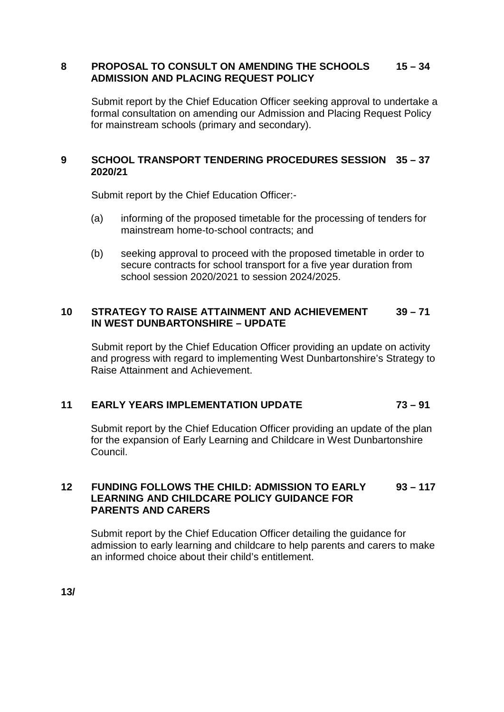#### **8 PROPOSAL TO CONSULT ON AMENDING THE SCHOOLS 15 – 34 ADMISSION AND PLACING REQUEST POLICY**

Submit report by the Chief Education Officer seeking approval to undertake a formal consultation on amending our Admission and Placing Request Policy for mainstream schools (primary and secondary).

#### **9 SCHOOL TRANSPORT TENDERING PROCEDURES SESSION 35 – 37 2020/21**

Submit report by the Chief Education Officer:-

- (a) informing of the proposed timetable for the processing of tenders for mainstream home-to-school contracts; and
- (b) seeking approval to proceed with the proposed timetable in order to secure contracts for school transport for a five year duration from school session 2020/2021 to session 2024/2025.

#### **10 STRATEGY TO RAISE ATTAINMENT AND ACHIEVEMENT 39 – 71 IN WEST DUNBARTONSHIRE – UPDATE**

Submit report by the Chief Education Officer providing an update on activity and progress with regard to implementing West Dunbartonshire's Strategy to Raise Attainment and Achievement.

# **11 EARLY YEARS IMPLEMENTATION UPDATE 73 – 91**

Submit report by the Chief Education Officer providing an update of the plan for the expansion of Early Learning and Childcare in West Dunbartonshire Council.

#### **12 FUNDING FOLLOWS THE CHILD: ADMISSION TO EARLY 93 – 117 LEARNING AND CHILDCARE POLICY GUIDANCE FOR PARENTS AND CARERS**

Submit report by the Chief Education Officer detailing the guidance for admission to early learning and childcare to help parents and carers to make an informed choice about their child's entitlement.

**13/**